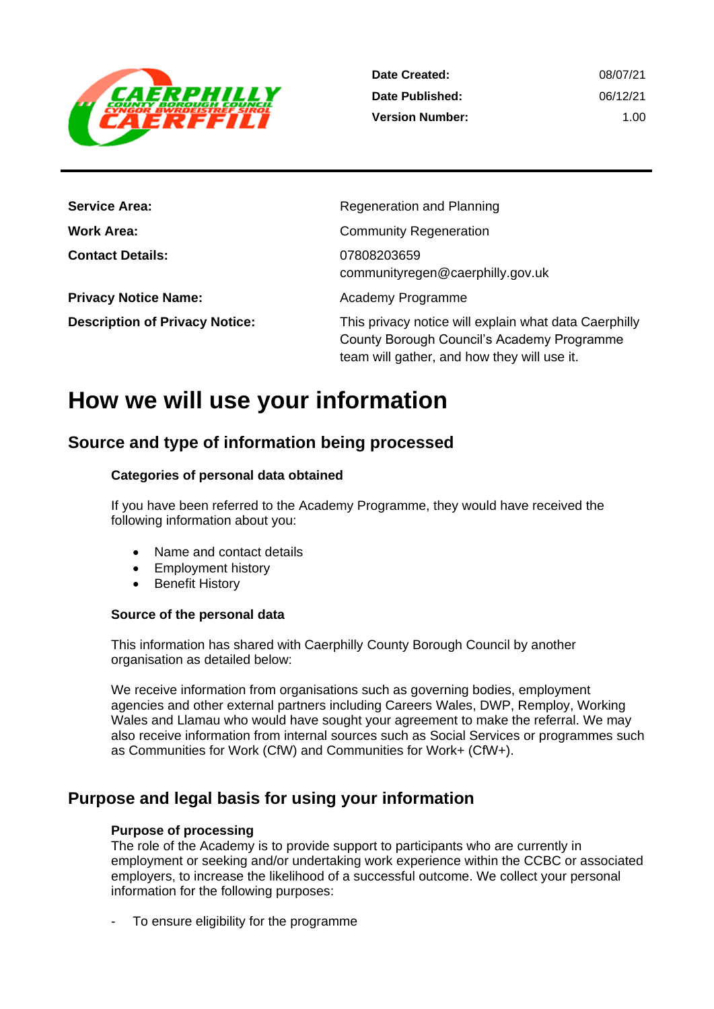

| Date Created:          | 08/07/21 |
|------------------------|----------|
| Date Published:        | 06/12/21 |
| <b>Version Number:</b> | 1.00     |

| <b>Service Area:</b>                  | Regeneration and Planning                                                                                                                          |
|---------------------------------------|----------------------------------------------------------------------------------------------------------------------------------------------------|
| <b>Work Area:</b>                     | <b>Community Regeneration</b>                                                                                                                      |
| <b>Contact Details:</b>               | 07808203659<br>communityregen@caerphilly.gov.uk                                                                                                    |
| <b>Privacy Notice Name:</b>           | Academy Programme                                                                                                                                  |
| <b>Description of Privacy Notice:</b> | This privacy notice will explain what data Caerphilly<br>County Borough Council's Academy Programme<br>team will gather, and how they will use it. |

## **How we will use your information**

## **Source and type of information being processed**

#### **Categories of personal data obtained**

If you have been referred to the Academy Programme, they would have received the following information about you:

- Name and contact details
- Employment history
- Benefit History

#### **Source of the personal data**

This information has shared with Caerphilly County Borough Council by another organisation as detailed below:

We receive information from organisations such as governing bodies, employment agencies and other external partners including Careers Wales, DWP, Remploy, Working Wales and Llamau who would have sought your agreement to make the referral. We may also receive information from internal sources such as Social Services or programmes such as Communities for Work (CfW) and Communities for Work+ (CfW+).

## **Purpose and legal basis for using your information**

#### **Purpose of processing**

The role of the Academy is to provide support to participants who are currently in employment or seeking and/or undertaking work experience within the CCBC or associated employers, to increase the likelihood of a successful outcome. We collect your personal information for the following purposes:

To ensure eligibility for the programme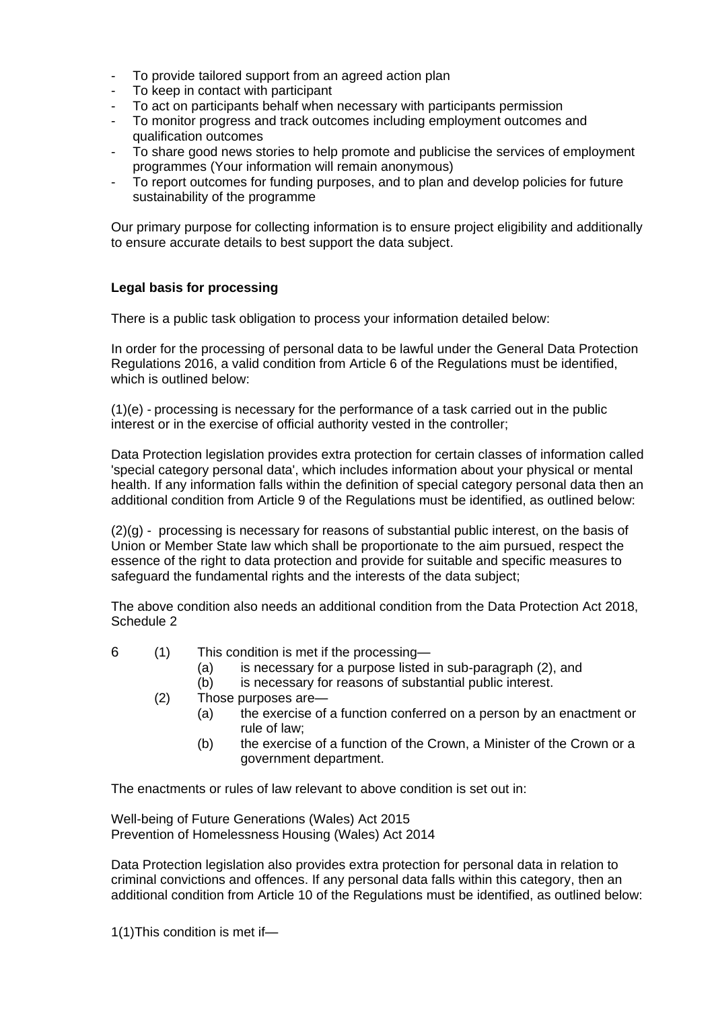- To provide tailored support from an agreed action plan
- To keep in contact with participant
- To act on participants behalf when necessary with participants permission
- To monitor progress and track outcomes including employment outcomes and qualification outcomes
- To share good news stories to help promote and publicise the services of employment programmes (Your information will remain anonymous)
- To report outcomes for funding purposes, and to plan and develop policies for future sustainability of the programme

Our primary purpose for collecting information is to ensure project eligibility and additionally to ensure accurate details to best support the data subject.

#### **Legal basis for processing**

There is a public task obligation to process your information detailed below:

In order for the processing of personal data to be lawful under the General Data Protection Regulations 2016, a valid condition from Article 6 of the Regulations must be identified, which is outlined below:

(1)(e) - processing is necessary for the performance of a task carried out in the public interest or in the exercise of official authority vested in the controller;

Data Protection legislation provides extra protection for certain classes of information called 'special category personal data', which includes information about your physical or mental health. If any information falls within the definition of special category personal data then an additional condition from Article 9 of the Regulations must be identified, as outlined below:

(2)(g) - processing is necessary for reasons of substantial public interest, on the basis of Union or Member State law which shall be proportionate to the aim pursued, respect the essence of the right to data protection and provide for suitable and specific measures to safeguard the fundamental rights and the interests of the data subject;

The above condition also needs an additional condition from the Data Protection Act 2018, Schedule 2

- 6 (1) This condition is met if the processing—
	- (a) is necessary for a purpose listed in sub-paragraph (2), and
	- (b) is necessary for reasons of substantial public interest.
	- (2) Those purposes are—
		- (a) the exercise of a function conferred on a person by an enactment or rule of law;
		- (b) the exercise of a function of the Crown, a Minister of the Crown or a government department.

The enactments or rules of law relevant to above condition is set out in:

Well-being of Future Generations (Wales) Act 2015 Prevention of Homelessness [Housing \(Wales\) Act 2014](http://www.legislation.gov.uk/anaw/2014/7/contents?lang=en)

Data Protection legislation also provides extra protection for personal data in relation to criminal convictions and offences. If any personal data falls within this category, then an additional condition from Article 10 of the Regulations must be identified, as outlined below:

1(1)This condition is met if—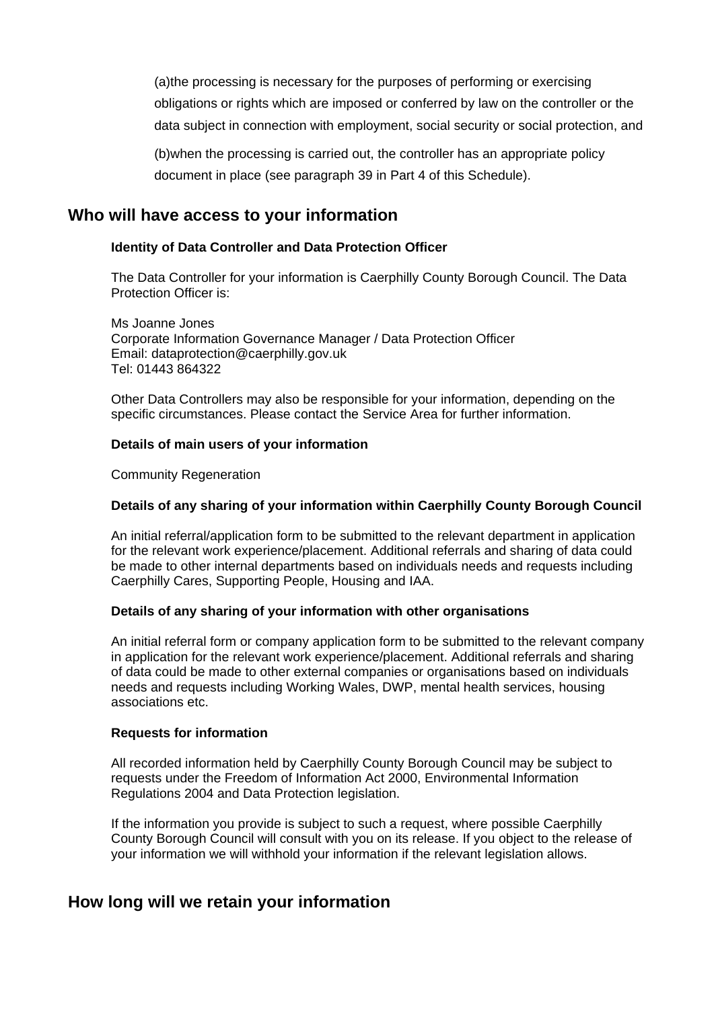(a)the processing is necessary for the purposes of performing or exercising obligations or rights which are imposed or conferred by law on the controller or the data subject in connection with employment, social security or social protection, and

(b)when the processing is carried out, the controller has an appropriate policy document in place (see paragraph 39 in Part 4 of this Schedule).

## **Who will have access to your information**

#### **Identity of Data Controller and Data Protection Officer**

The Data Controller for your information is Caerphilly County Borough Council. The Data Protection Officer is:

Ms Joanne Jones Corporate Information Governance Manager / Data Protection Officer Email: dataprotection@caerphilly.gov.uk Tel: 01443 864322

Other Data Controllers may also be responsible for your information, depending on the specific circumstances. Please contact the Service Area for further information.

#### **Details of main users of your information**

Community Regeneration

#### **Details of any sharing of your information within Caerphilly County Borough Council**

An initial referral/application form to be submitted to the relevant department in application for the relevant work experience/placement. Additional referrals and sharing of data could be made to other internal departments based on individuals needs and requests including Caerphilly Cares, Supporting People, Housing and IAA.

#### **Details of any sharing of your information with other organisations**

An initial referral form or company application form to be submitted to the relevant company in application for the relevant work experience/placement. Additional referrals and sharing of data could be made to other external companies or organisations based on individuals needs and requests including Working Wales, DWP, mental health services, housing associations etc.

#### **Requests for information**

All recorded information held by Caerphilly County Borough Council may be subject to requests under the Freedom of Information Act 2000, Environmental Information Regulations 2004 and Data Protection legislation.

If the information you provide is subject to such a request, where possible Caerphilly County Borough Council will consult with you on its release. If you object to the release of your information we will withhold your information if the relevant legislation allows.

## **How long will we retain your information**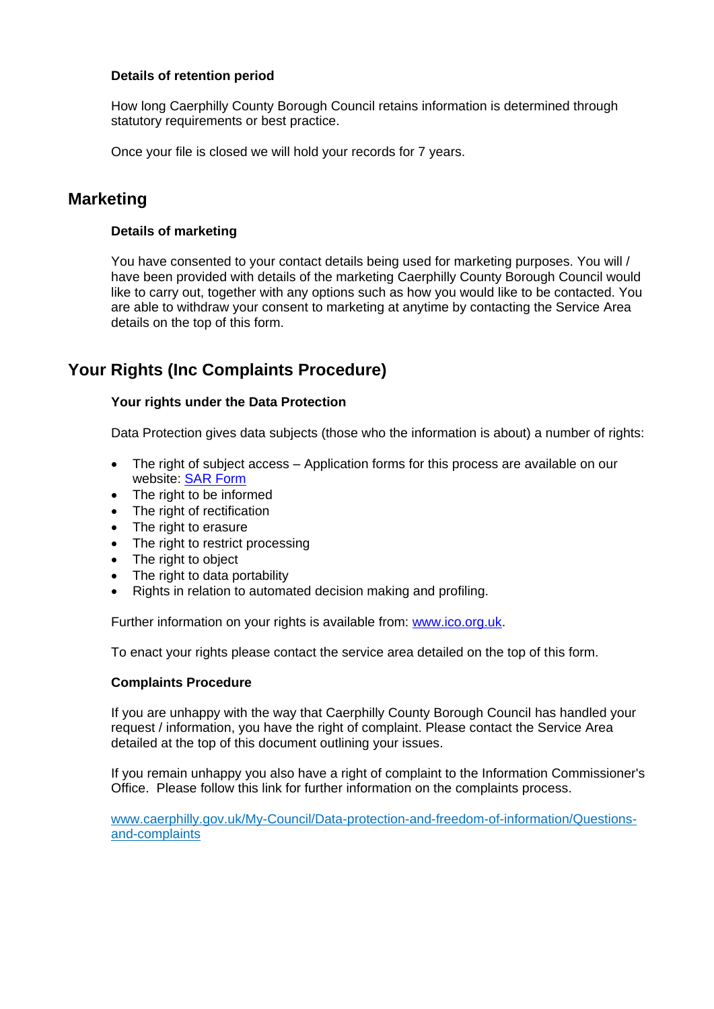#### **Details of retention period**

How long Caerphilly County Borough Council retains information is determined through statutory requirements or best practice.

Once your file is closed we will hold your records for 7 years.

## **Marketing**

#### **Details of marketing**

You have consented to your contact details being used for marketing purposes. You will / have been provided with details of the marketing Caerphilly County Borough Council would like to carry out, together with any options such as how you would like to be contacted. You are able to withdraw your consent to marketing at anytime by contacting the Service Area details on the top of this form.

## **Your Rights (Inc Complaints Procedure)**

#### **Your rights under the Data Protection**

Data Protection gives data subjects (those who the information is about) a number of rights:

- The right of subject access Application forms for this process are available on our website: [SAR Form](http://www.caerphilly.gov.uk/CaerphillyDocs/Council-and-democracy/sar_form.aspx)
- The right to be informed
- The right of rectification
- The right to erasure
- The right to restrict processing
- The right to object
- The right to data portability
- Rights in relation to automated decision making and profiling.

Further information on your rights is available from: [www.ico.org.uk.](http://www.ico.org.uk/)

To enact your rights please contact the service area detailed on the top of this form.

#### **Complaints Procedure**

If you are unhappy with the way that Caerphilly County Borough Council has handled your request / information, you have the right of complaint. Please contact the Service Area detailed at the top of this document outlining your issues.

If you remain unhappy you also have a right of complaint to the Information Commissioner's Office. Please follow this link for further information on the complaints process.

[www.caerphilly.gov.uk/My-Council/Data-protection-and-freedom-of-information/Questions](http://www.caerphilly.gov.uk/My-Council/Data-protection-and-freedom-of-information/Questions-and-complaints)[and-complaints](http://www.caerphilly.gov.uk/My-Council/Data-protection-and-freedom-of-information/Questions-and-complaints)